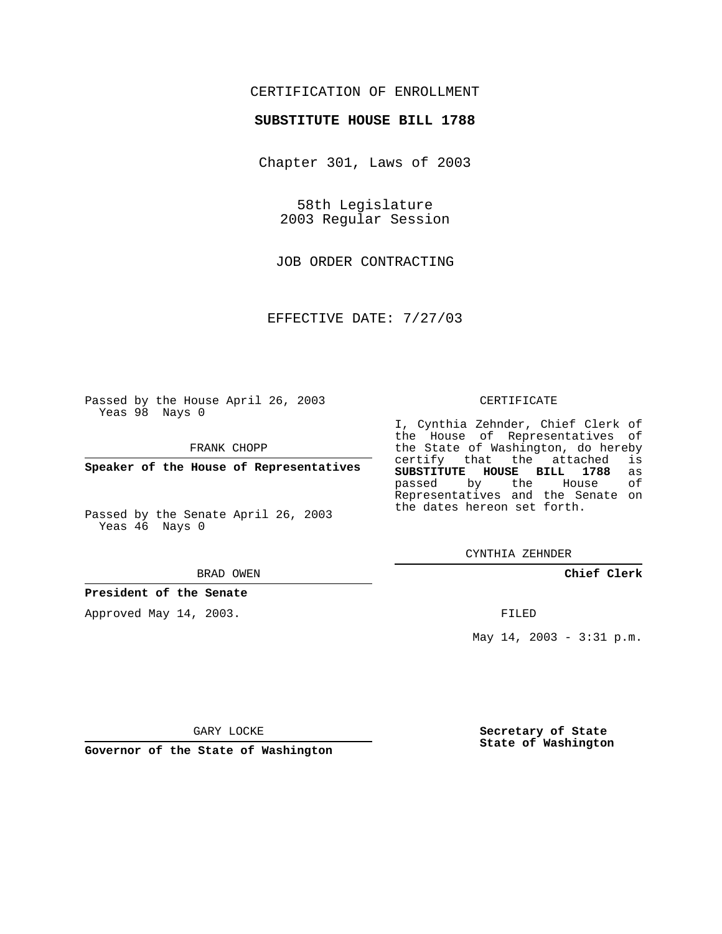## CERTIFICATION OF ENROLLMENT

## **SUBSTITUTE HOUSE BILL 1788**

Chapter 301, Laws of 2003

58th Legislature 2003 Regular Session

JOB ORDER CONTRACTING

EFFECTIVE DATE: 7/27/03

Passed by the House April 26, 2003 Yeas 98 Nays 0

FRANK CHOPP

**Speaker of the House of Representatives**

Passed by the Senate April 26, 2003 Yeas 46 Nays 0

#### BRAD OWEN

**President of the Senate**

Approved May 14, 2003.

### CERTIFICATE

I, Cynthia Zehnder, Chief Clerk of the House of Representatives of the State of Washington, do hereby<br>certify that the attached is certify that the attached **SUBSTITUTE HOUSE BILL 1788** as passed by the Representatives and the Senate on the dates hereon set forth.

CYNTHIA ZEHNDER

**Chief Clerk**

FILED

May 14, 2003 - 3:31 p.m.

GARY LOCKE

**Governor of the State of Washington**

**Secretary of State State of Washington**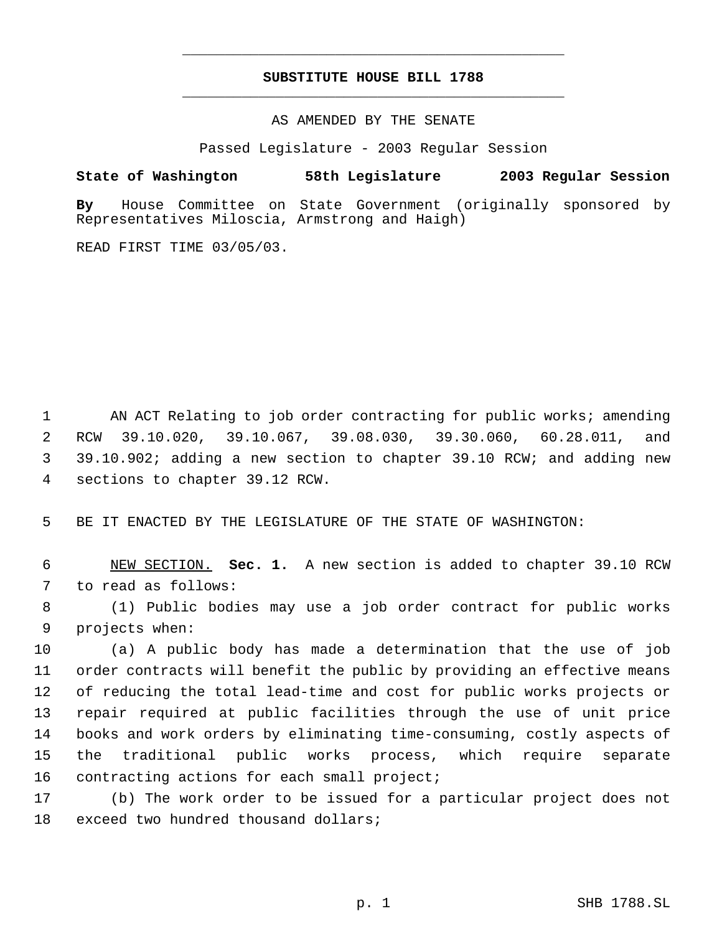# **SUBSTITUTE HOUSE BILL 1788** \_\_\_\_\_\_\_\_\_\_\_\_\_\_\_\_\_\_\_\_\_\_\_\_\_\_\_\_\_\_\_\_\_\_\_\_\_\_\_\_\_\_\_\_\_

\_\_\_\_\_\_\_\_\_\_\_\_\_\_\_\_\_\_\_\_\_\_\_\_\_\_\_\_\_\_\_\_\_\_\_\_\_\_\_\_\_\_\_\_\_

AS AMENDED BY THE SENATE

Passed Legislature - 2003 Regular Session

**State of Washington 58th Legislature 2003 Regular Session**

**By** House Committee on State Government (originally sponsored by Representatives Miloscia, Armstrong and Haigh)

READ FIRST TIME 03/05/03.

1 AN ACT Relating to job order contracting for public works; amending RCW 39.10.020, 39.10.067, 39.08.030, 39.30.060, 60.28.011, and 39.10.902; adding a new section to chapter 39.10 RCW; and adding new sections to chapter 39.12 RCW.

5 BE IT ENACTED BY THE LEGISLATURE OF THE STATE OF WASHINGTON:

 6 NEW SECTION. **Sec. 1.** A new section is added to chapter 39.10 RCW 7 to read as follows:

 8 (1) Public bodies may use a job order contract for public works 9 projects when:

 (a) A public body has made a determination that the use of job order contracts will benefit the public by providing an effective means of reducing the total lead-time and cost for public works projects or repair required at public facilities through the use of unit price books and work orders by eliminating time-consuming, costly aspects of the traditional public works process, which require separate 16 contracting actions for each small project;

17 (b) The work order to be issued for a particular project does not 18 exceed two hundred thousand dollars;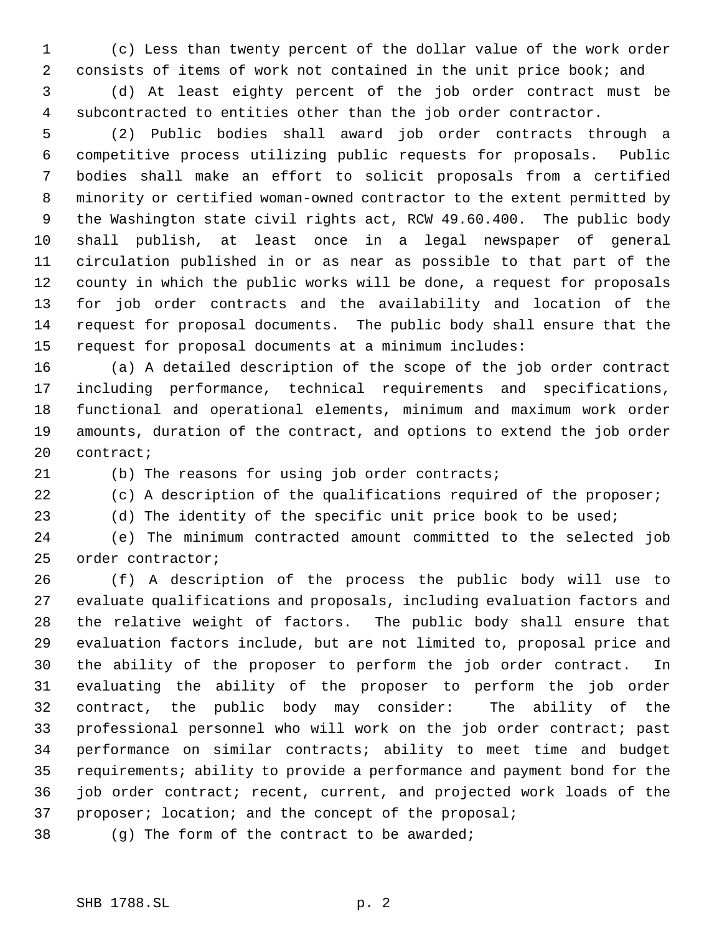(c) Less than twenty percent of the dollar value of the work order consists of items of work not contained in the unit price book; and (d) At least eighty percent of the job order contract must be subcontracted to entities other than the job order contractor.

 (2) Public bodies shall award job order contracts through a competitive process utilizing public requests for proposals. Public bodies shall make an effort to solicit proposals from a certified minority or certified woman-owned contractor to the extent permitted by the Washington state civil rights act, RCW 49.60.400. The public body shall publish, at least once in a legal newspaper of general circulation published in or as near as possible to that part of the county in which the public works will be done, a request for proposals for job order contracts and the availability and location of the request for proposal documents. The public body shall ensure that the request for proposal documents at a minimum includes:

 (a) A detailed description of the scope of the job order contract including performance, technical requirements and specifications, functional and operational elements, minimum and maximum work order amounts, duration of the contract, and options to extend the job order contract;

(b) The reasons for using job order contracts;

22 (c) A description of the qualifications required of the proposer;

(d) The identity of the specific unit price book to be used;

 (e) The minimum contracted amount committed to the selected job order contractor;

 (f) A description of the process the public body will use to evaluate qualifications and proposals, including evaluation factors and the relative weight of factors. The public body shall ensure that evaluation factors include, but are not limited to, proposal price and the ability of the proposer to perform the job order contract. In evaluating the ability of the proposer to perform the job order contract, the public body may consider: The ability of the professional personnel who will work on the job order contract; past performance on similar contracts; ability to meet time and budget requirements; ability to provide a performance and payment bond for the job order contract; recent, current, and projected work loads of the proposer; location; and the concept of the proposal;

(g) The form of the contract to be awarded;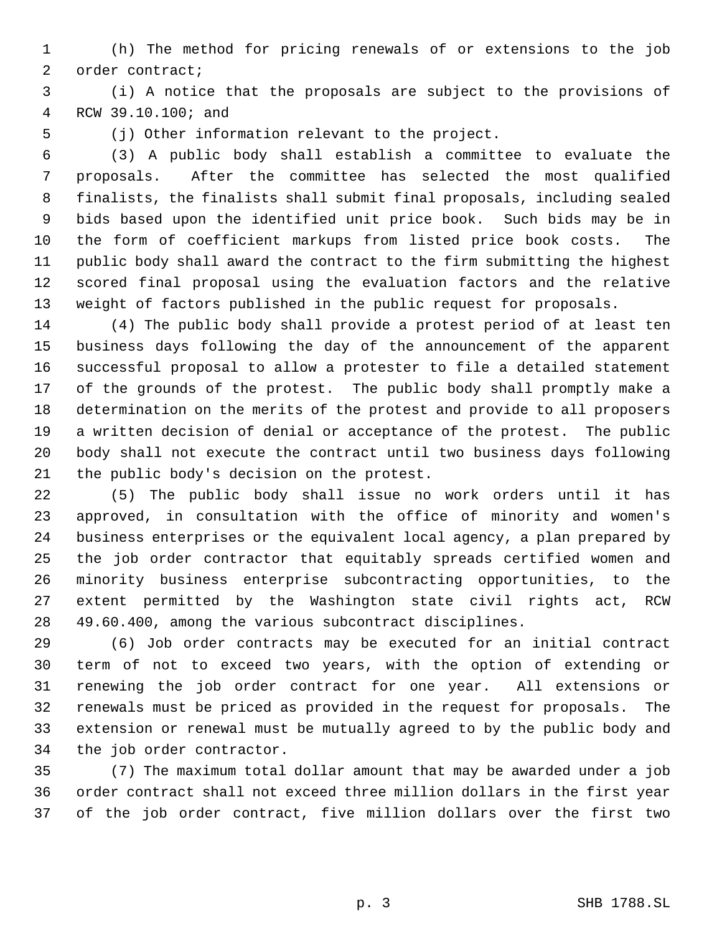(h) The method for pricing renewals of or extensions to the job order contract;

 (i) A notice that the proposals are subject to the provisions of RCW 39.10.100; and

(j) Other information relevant to the project.

 (3) A public body shall establish a committee to evaluate the proposals. After the committee has selected the most qualified finalists, the finalists shall submit final proposals, including sealed bids based upon the identified unit price book. Such bids may be in the form of coefficient markups from listed price book costs. The public body shall award the contract to the firm submitting the highest scored final proposal using the evaluation factors and the relative weight of factors published in the public request for proposals.

 (4) The public body shall provide a protest period of at least ten business days following the day of the announcement of the apparent successful proposal to allow a protester to file a detailed statement of the grounds of the protest. The public body shall promptly make a determination on the merits of the protest and provide to all proposers a written decision of denial or acceptance of the protest. The public body shall not execute the contract until two business days following the public body's decision on the protest.

 (5) The public body shall issue no work orders until it has approved, in consultation with the office of minority and women's business enterprises or the equivalent local agency, a plan prepared by the job order contractor that equitably spreads certified women and minority business enterprise subcontracting opportunities, to the extent permitted by the Washington state civil rights act, RCW 49.60.400, among the various subcontract disciplines.

 (6) Job order contracts may be executed for an initial contract term of not to exceed two years, with the option of extending or renewing the job order contract for one year. All extensions or renewals must be priced as provided in the request for proposals. The extension or renewal must be mutually agreed to by the public body and the job order contractor.

 (7) The maximum total dollar amount that may be awarded under a job order contract shall not exceed three million dollars in the first year of the job order contract, five million dollars over the first two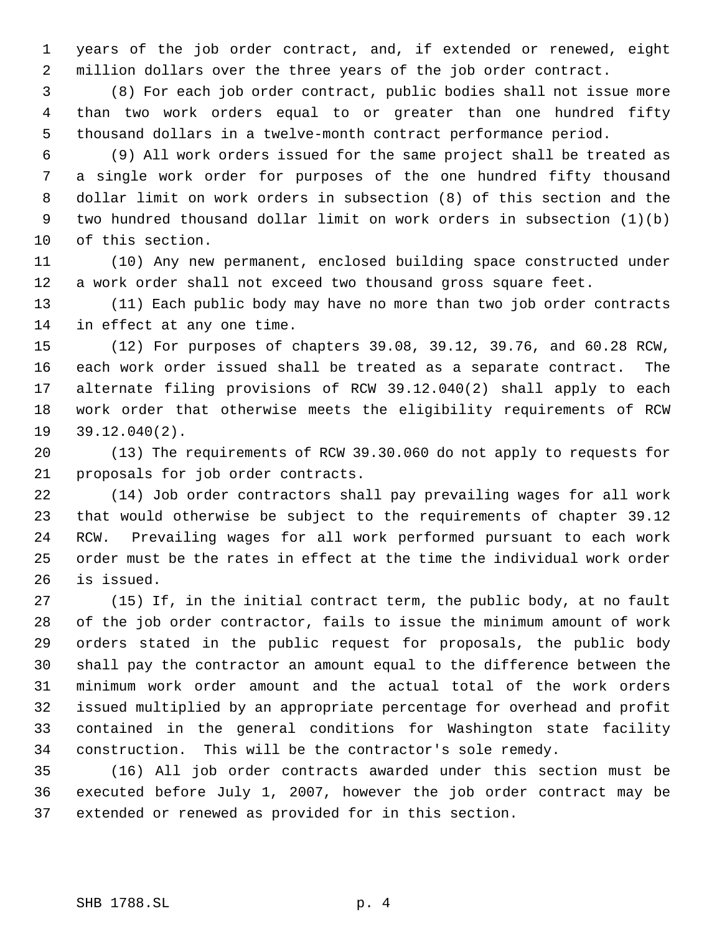years of the job order contract, and, if extended or renewed, eight million dollars over the three years of the job order contract.

 (8) For each job order contract, public bodies shall not issue more than two work orders equal to or greater than one hundred fifty thousand dollars in a twelve-month contract performance period.

 (9) All work orders issued for the same project shall be treated as a single work order for purposes of the one hundred fifty thousand dollar limit on work orders in subsection (8) of this section and the two hundred thousand dollar limit on work orders in subsection (1)(b) of this section.

 (10) Any new permanent, enclosed building space constructed under a work order shall not exceed two thousand gross square feet.

 (11) Each public body may have no more than two job order contracts in effect at any one time.

 (12) For purposes of chapters 39.08, 39.12, 39.76, and 60.28 RCW, each work order issued shall be treated as a separate contract. The alternate filing provisions of RCW 39.12.040(2) shall apply to each work order that otherwise meets the eligibility requirements of RCW 39.12.040(2).

 (13) The requirements of RCW 39.30.060 do not apply to requests for proposals for job order contracts.

 (14) Job order contractors shall pay prevailing wages for all work that would otherwise be subject to the requirements of chapter 39.12 RCW. Prevailing wages for all work performed pursuant to each work order must be the rates in effect at the time the individual work order is issued.

 (15) If, in the initial contract term, the public body, at no fault of the job order contractor, fails to issue the minimum amount of work orders stated in the public request for proposals, the public body shall pay the contractor an amount equal to the difference between the minimum work order amount and the actual total of the work orders issued multiplied by an appropriate percentage for overhead and profit contained in the general conditions for Washington state facility construction. This will be the contractor's sole remedy.

 (16) All job order contracts awarded under this section must be executed before July 1, 2007, however the job order contract may be extended or renewed as provided for in this section.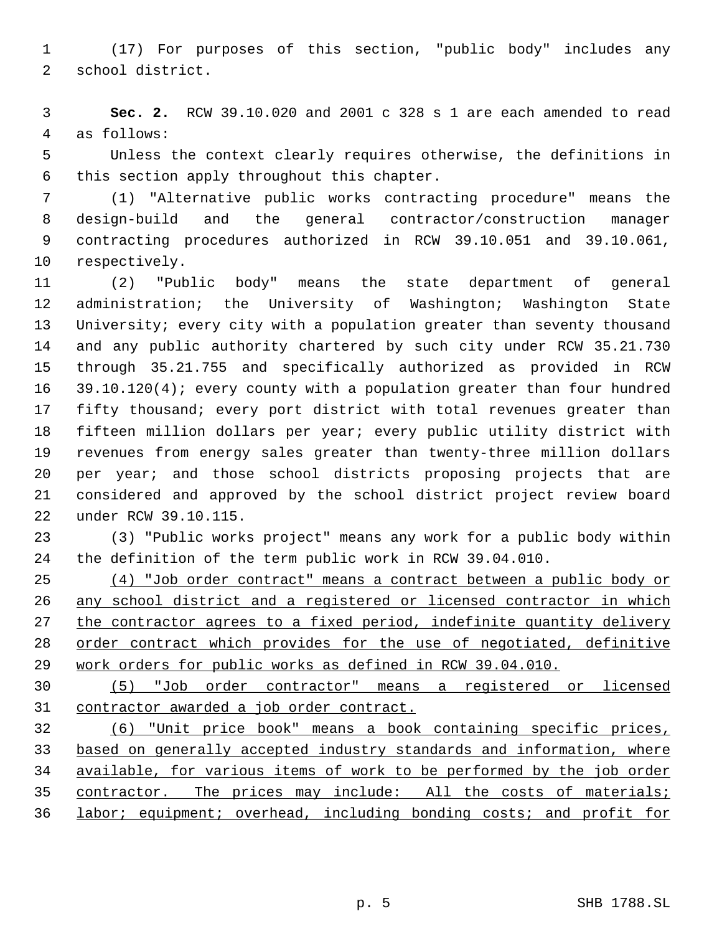(17) For purposes of this section, "public body" includes any school district.

 **Sec. 2.** RCW 39.10.020 and 2001 c 328 s 1 are each amended to read as follows:

 Unless the context clearly requires otherwise, the definitions in this section apply throughout this chapter.

 (1) "Alternative public works contracting procedure" means the design-build and the general contractor/construction manager contracting procedures authorized in RCW 39.10.051 and 39.10.061, respectively.

 (2) "Public body" means the state department of general administration; the University of Washington; Washington State University; every city with a population greater than seventy thousand and any public authority chartered by such city under RCW 35.21.730 through 35.21.755 and specifically authorized as provided in RCW 39.10.120(4); every county with a population greater than four hundred fifty thousand; every port district with total revenues greater than fifteen million dollars per year; every public utility district with revenues from energy sales greater than twenty-three million dollars per year; and those school districts proposing projects that are considered and approved by the school district project review board under RCW 39.10.115.

 (3) "Public works project" means any work for a public body within the definition of the term public work in RCW 39.04.010.

 (4) "Job order contract" means a contract between a public body or any school district and a registered or licensed contractor in which 27 the contractor agrees to a fixed period, indefinite quantity delivery order contract which provides for the use of negotiated, definitive work orders for public works as defined in RCW 39.04.010.

 (5) "Job order contractor" means a registered or licensed contractor awarded a job order contract.

 (6) "Unit price book" means a book containing specific prices, based on generally accepted industry standards and information, where available, for various items of work to be performed by the job order contractor. The prices may include: All the costs of materials; labor; equipment; overhead, including bonding costs; and profit for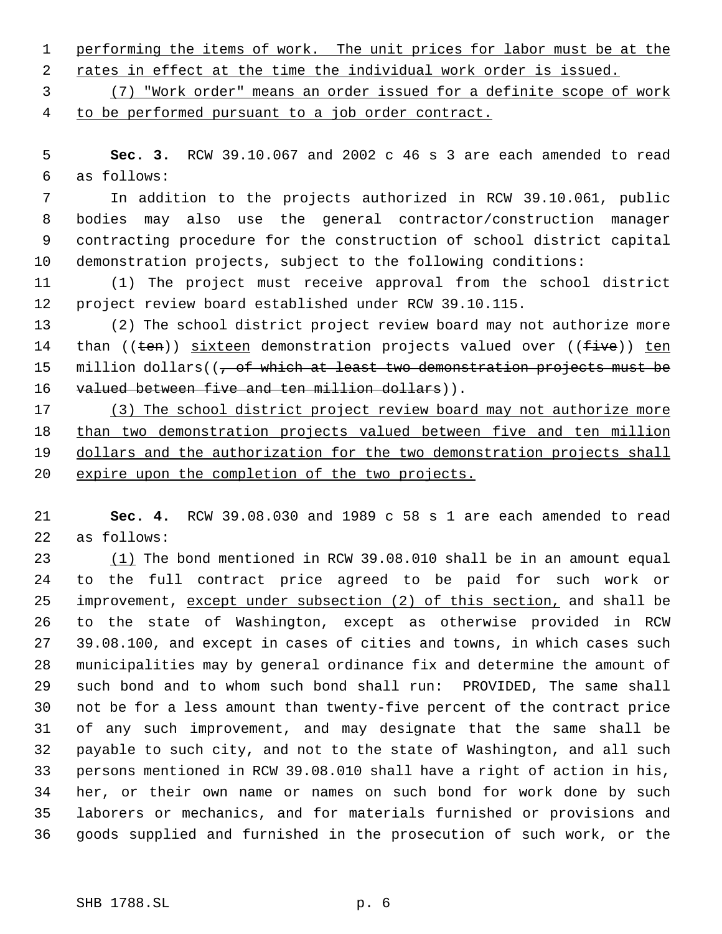1 performing the items of work. The unit prices for labor must be at the

2 rates in effect at the time the individual work order is issued.

 (7) "Work order" means an order issued for a definite scope of work to be performed pursuant to a job order contract.

 **Sec. 3.** RCW 39.10.067 and 2002 c 46 s 3 are each amended to read as follows:

 In addition to the projects authorized in RCW 39.10.061, public bodies may also use the general contractor/construction manager contracting procedure for the construction of school district capital demonstration projects, subject to the following conditions:

 (1) The project must receive approval from the school district project review board established under RCW 39.10.115.

 (2) The school district project review board may not authorize more 14 than ((ten)) sixteen demonstration projects valued over ((five)) ten 15 million dollars( $(-$  of which at least two demonstration projects must be 16 valued between five and ten million dollars)).

 (3) The school district project review board may not authorize more than two demonstration projects valued between five and ten million 19 dollars and the authorization for the two demonstration projects shall expire upon the completion of the two projects.

 **Sec. 4.** RCW 39.08.030 and 1989 c 58 s 1 are each amended to read as follows:

 (1) The bond mentioned in RCW 39.08.010 shall be in an amount equal to the full contract price agreed to be paid for such work or 25 improvement, except under subsection (2) of this section, and shall be to the state of Washington, except as otherwise provided in RCW 39.08.100, and except in cases of cities and towns, in which cases such municipalities may by general ordinance fix and determine the amount of such bond and to whom such bond shall run: PROVIDED, The same shall not be for a less amount than twenty-five percent of the contract price of any such improvement, and may designate that the same shall be payable to such city, and not to the state of Washington, and all such persons mentioned in RCW 39.08.010 shall have a right of action in his, her, or their own name or names on such bond for work done by such laborers or mechanics, and for materials furnished or provisions and goods supplied and furnished in the prosecution of such work, or the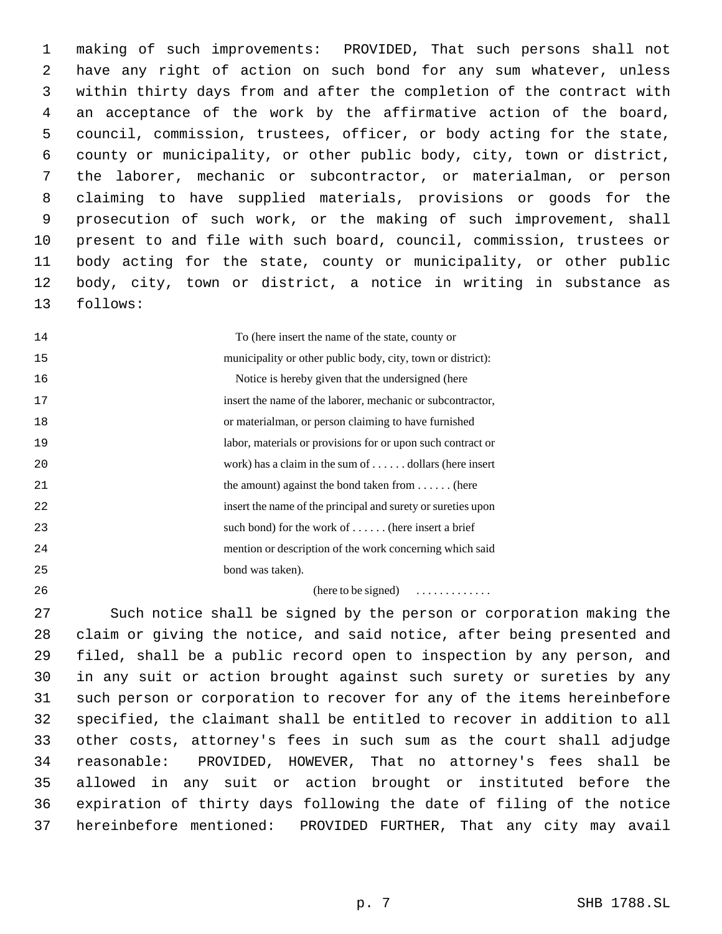making of such improvements: PROVIDED, That such persons shall not have any right of action on such bond for any sum whatever, unless within thirty days from and after the completion of the contract with an acceptance of the work by the affirmative action of the board, council, commission, trustees, officer, or body acting for the state, county or municipality, or other public body, city, town or district, the laborer, mechanic or subcontractor, or materialman, or person claiming to have supplied materials, provisions or goods for the prosecution of such work, or the making of such improvement, shall present to and file with such board, council, commission, trustees or body acting for the state, county or municipality, or other public body, city, town or district, a notice in writing in substance as follows:

| 14 | To (here insert the name of the state, county or             |
|----|--------------------------------------------------------------|
| 15 | municipality or other public body, city, town or district):  |
| 16 | Notice is hereby given that the undersigned (here            |
| 17 | insert the name of the laborer, mechanic or subcontractor,   |
| 18 | or materialman, or person claiming to have furnished         |
| 19 | labor, materials or provisions for or upon such contract or  |
| 20 | work) has a claim in the sum of $\dots$ dollars (here insert |
| 21 | the amount) against the bond taken from $\dots$ (here        |
| 22 | insert the name of the principal and surety or sureties upon |
| 23 | such bond) for the work of $\dots$ (here insert a brief      |
| 24 | mention or description of the work concerning which said     |
| 25 | bond was taken).                                             |

(here to be signed) . . . . . . . . . . . . .

 Such notice shall be signed by the person or corporation making the claim or giving the notice, and said notice, after being presented and filed, shall be a public record open to inspection by any person, and in any suit or action brought against such surety or sureties by any such person or corporation to recover for any of the items hereinbefore specified, the claimant shall be entitled to recover in addition to all other costs, attorney's fees in such sum as the court shall adjudge reasonable: PROVIDED, HOWEVER, That no attorney's fees shall be allowed in any suit or action brought or instituted before the expiration of thirty days following the date of filing of the notice hereinbefore mentioned: PROVIDED FURTHER, That any city may avail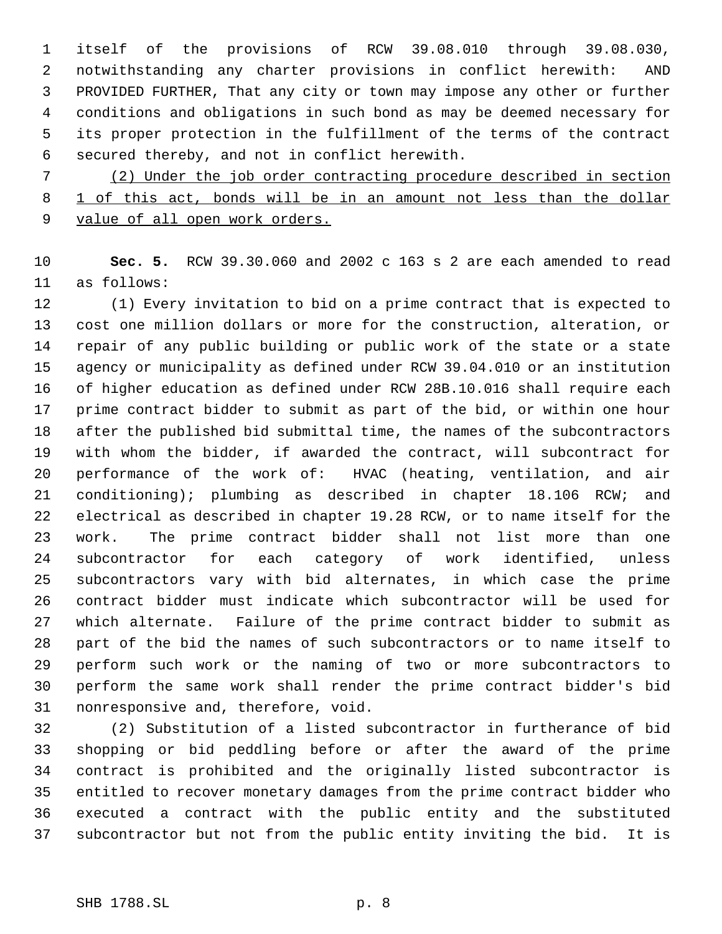itself of the provisions of RCW 39.08.010 through 39.08.030, notwithstanding any charter provisions in conflict herewith: AND PROVIDED FURTHER, That any city or town may impose any other or further conditions and obligations in such bond as may be deemed necessary for its proper protection in the fulfillment of the terms of the contract secured thereby, and not in conflict herewith.

 (2) Under the job order contracting procedure described in section 1 of this act, bonds will be in an amount not less than the dollar 9 value of all open work orders.

 **Sec. 5.** RCW 39.30.060 and 2002 c 163 s 2 are each amended to read as follows:

 (1) Every invitation to bid on a prime contract that is expected to cost one million dollars or more for the construction, alteration, or repair of any public building or public work of the state or a state agency or municipality as defined under RCW 39.04.010 or an institution of higher education as defined under RCW 28B.10.016 shall require each prime contract bidder to submit as part of the bid, or within one hour after the published bid submittal time, the names of the subcontractors with whom the bidder, if awarded the contract, will subcontract for performance of the work of: HVAC (heating, ventilation, and air conditioning); plumbing as described in chapter 18.106 RCW; and electrical as described in chapter 19.28 RCW, or to name itself for the work. The prime contract bidder shall not list more than one subcontractor for each category of work identified, unless subcontractors vary with bid alternates, in which case the prime contract bidder must indicate which subcontractor will be used for which alternate. Failure of the prime contract bidder to submit as part of the bid the names of such subcontractors or to name itself to perform such work or the naming of two or more subcontractors to perform the same work shall render the prime contract bidder's bid nonresponsive and, therefore, void.

 (2) Substitution of a listed subcontractor in furtherance of bid shopping or bid peddling before or after the award of the prime contract is prohibited and the originally listed subcontractor is entitled to recover monetary damages from the prime contract bidder who executed a contract with the public entity and the substituted subcontractor but not from the public entity inviting the bid. It is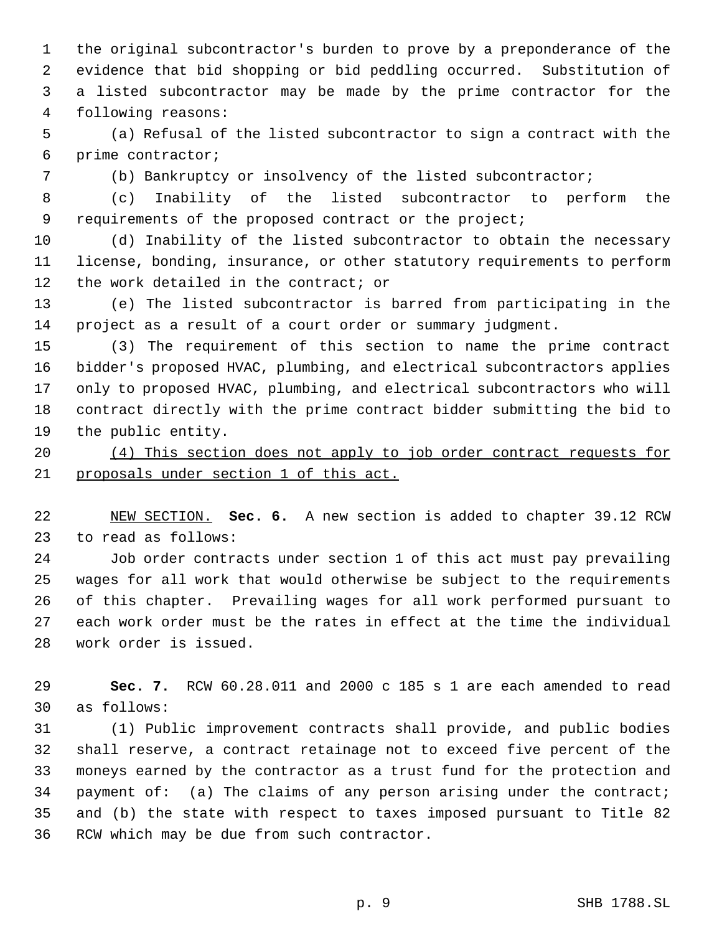the original subcontractor's burden to prove by a preponderance of the evidence that bid shopping or bid peddling occurred. Substitution of a listed subcontractor may be made by the prime contractor for the following reasons:

 (a) Refusal of the listed subcontractor to sign a contract with the prime contractor;

(b) Bankruptcy or insolvency of the listed subcontractor;

 (c) Inability of the listed subcontractor to perform the 9 requirements of the proposed contract or the project;

 (d) Inability of the listed subcontractor to obtain the necessary license, bonding, insurance, or other statutory requirements to perform 12 the work detailed in the contract; or

 (e) The listed subcontractor is barred from participating in the project as a result of a court order or summary judgment.

 (3) The requirement of this section to name the prime contract bidder's proposed HVAC, plumbing, and electrical subcontractors applies only to proposed HVAC, plumbing, and electrical subcontractors who will contract directly with the prime contract bidder submitting the bid to the public entity.

 (4) This section does not apply to job order contract requests for proposals under section 1 of this act.

 NEW SECTION. **Sec. 6.** A new section is added to chapter 39.12 RCW to read as follows:

 Job order contracts under section 1 of this act must pay prevailing wages for all work that would otherwise be subject to the requirements of this chapter. Prevailing wages for all work performed pursuant to each work order must be the rates in effect at the time the individual work order is issued.

 **Sec. 7.** RCW 60.28.011 and 2000 c 185 s 1 are each amended to read as follows:

 (1) Public improvement contracts shall provide, and public bodies shall reserve, a contract retainage not to exceed five percent of the moneys earned by the contractor as a trust fund for the protection and payment of: (a) The claims of any person arising under the contract; and (b) the state with respect to taxes imposed pursuant to Title 82 RCW which may be due from such contractor.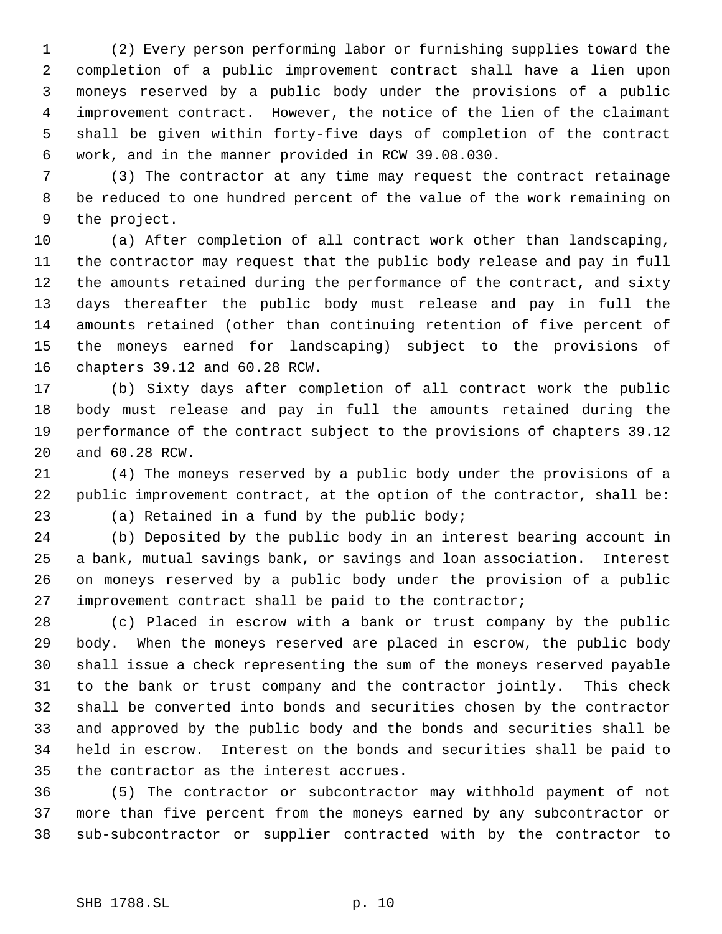(2) Every person performing labor or furnishing supplies toward the completion of a public improvement contract shall have a lien upon moneys reserved by a public body under the provisions of a public improvement contract. However, the notice of the lien of the claimant shall be given within forty-five days of completion of the contract work, and in the manner provided in RCW 39.08.030.

 (3) The contractor at any time may request the contract retainage be reduced to one hundred percent of the value of the work remaining on the project.

 (a) After completion of all contract work other than landscaping, the contractor may request that the public body release and pay in full the amounts retained during the performance of the contract, and sixty days thereafter the public body must release and pay in full the amounts retained (other than continuing retention of five percent of the moneys earned for landscaping) subject to the provisions of chapters 39.12 and 60.28 RCW.

 (b) Sixty days after completion of all contract work the public body must release and pay in full the amounts retained during the performance of the contract subject to the provisions of chapters 39.12 and 60.28 RCW.

 (4) The moneys reserved by a public body under the provisions of a public improvement contract, at the option of the contractor, shall be: (a) Retained in a fund by the public body;

 (b) Deposited by the public body in an interest bearing account in a bank, mutual savings bank, or savings and loan association. Interest on moneys reserved by a public body under the provision of a public improvement contract shall be paid to the contractor;

 (c) Placed in escrow with a bank or trust company by the public body. When the moneys reserved are placed in escrow, the public body shall issue a check representing the sum of the moneys reserved payable to the bank or trust company and the contractor jointly. This check shall be converted into bonds and securities chosen by the contractor and approved by the public body and the bonds and securities shall be held in escrow. Interest on the bonds and securities shall be paid to the contractor as the interest accrues.

 (5) The contractor or subcontractor may withhold payment of not more than five percent from the moneys earned by any subcontractor or sub-subcontractor or supplier contracted with by the contractor to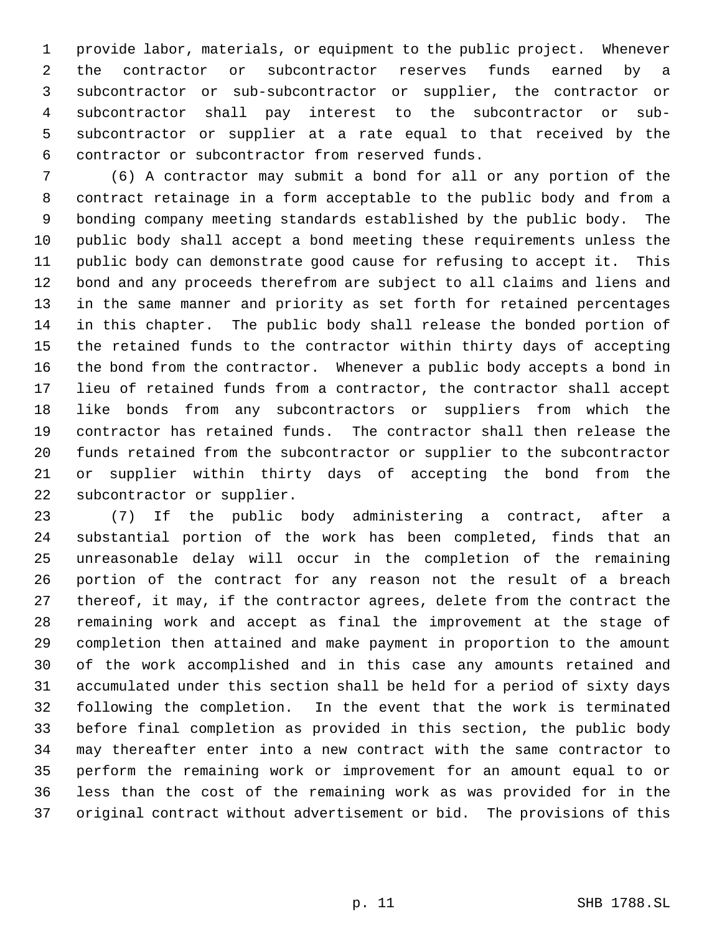provide labor, materials, or equipment to the public project. Whenever the contractor or subcontractor reserves funds earned by a subcontractor or sub-subcontractor or supplier, the contractor or subcontractor shall pay interest to the subcontractor or sub- subcontractor or supplier at a rate equal to that received by the contractor or subcontractor from reserved funds.

 (6) A contractor may submit a bond for all or any portion of the contract retainage in a form acceptable to the public body and from a bonding company meeting standards established by the public body. The public body shall accept a bond meeting these requirements unless the public body can demonstrate good cause for refusing to accept it. This bond and any proceeds therefrom are subject to all claims and liens and in the same manner and priority as set forth for retained percentages in this chapter. The public body shall release the bonded portion of the retained funds to the contractor within thirty days of accepting the bond from the contractor. Whenever a public body accepts a bond in lieu of retained funds from a contractor, the contractor shall accept like bonds from any subcontractors or suppliers from which the contractor has retained funds. The contractor shall then release the funds retained from the subcontractor or supplier to the subcontractor or supplier within thirty days of accepting the bond from the subcontractor or supplier.

 (7) If the public body administering a contract, after a substantial portion of the work has been completed, finds that an unreasonable delay will occur in the completion of the remaining portion of the contract for any reason not the result of a breach thereof, it may, if the contractor agrees, delete from the contract the remaining work and accept as final the improvement at the stage of completion then attained and make payment in proportion to the amount of the work accomplished and in this case any amounts retained and accumulated under this section shall be held for a period of sixty days following the completion. In the event that the work is terminated before final completion as provided in this section, the public body may thereafter enter into a new contract with the same contractor to perform the remaining work or improvement for an amount equal to or less than the cost of the remaining work as was provided for in the original contract without advertisement or bid. The provisions of this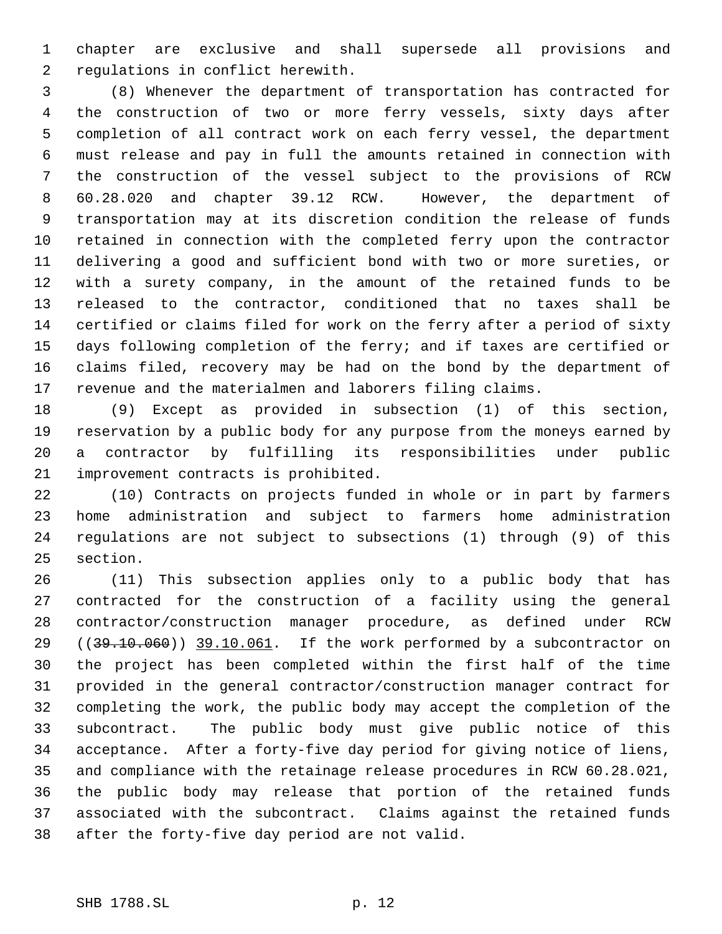chapter are exclusive and shall supersede all provisions and regulations in conflict herewith.

 (8) Whenever the department of transportation has contracted for the construction of two or more ferry vessels, sixty days after completion of all contract work on each ferry vessel, the department must release and pay in full the amounts retained in connection with the construction of the vessel subject to the provisions of RCW 60.28.020 and chapter 39.12 RCW. However, the department of transportation may at its discretion condition the release of funds retained in connection with the completed ferry upon the contractor delivering a good and sufficient bond with two or more sureties, or with a surety company, in the amount of the retained funds to be released to the contractor, conditioned that no taxes shall be certified or claims filed for work on the ferry after a period of sixty days following completion of the ferry; and if taxes are certified or claims filed, recovery may be had on the bond by the department of revenue and the materialmen and laborers filing claims.

 (9) Except as provided in subsection (1) of this section, reservation by a public body for any purpose from the moneys earned by a contractor by fulfilling its responsibilities under public improvement contracts is prohibited.

 (10) Contracts on projects funded in whole or in part by farmers home administration and subject to farmers home administration regulations are not subject to subsections (1) through (9) of this section.

 (11) This subsection applies only to a public body that has contracted for the construction of a facility using the general contractor/construction manager procedure, as defined under RCW 29 ((39.10.060)) 39.10.061. If the work performed by a subcontractor on the project has been completed within the first half of the time provided in the general contractor/construction manager contract for completing the work, the public body may accept the completion of the subcontract. The public body must give public notice of this acceptance. After a forty-five day period for giving notice of liens, and compliance with the retainage release procedures in RCW 60.28.021, the public body may release that portion of the retained funds associated with the subcontract. Claims against the retained funds after the forty-five day period are not valid.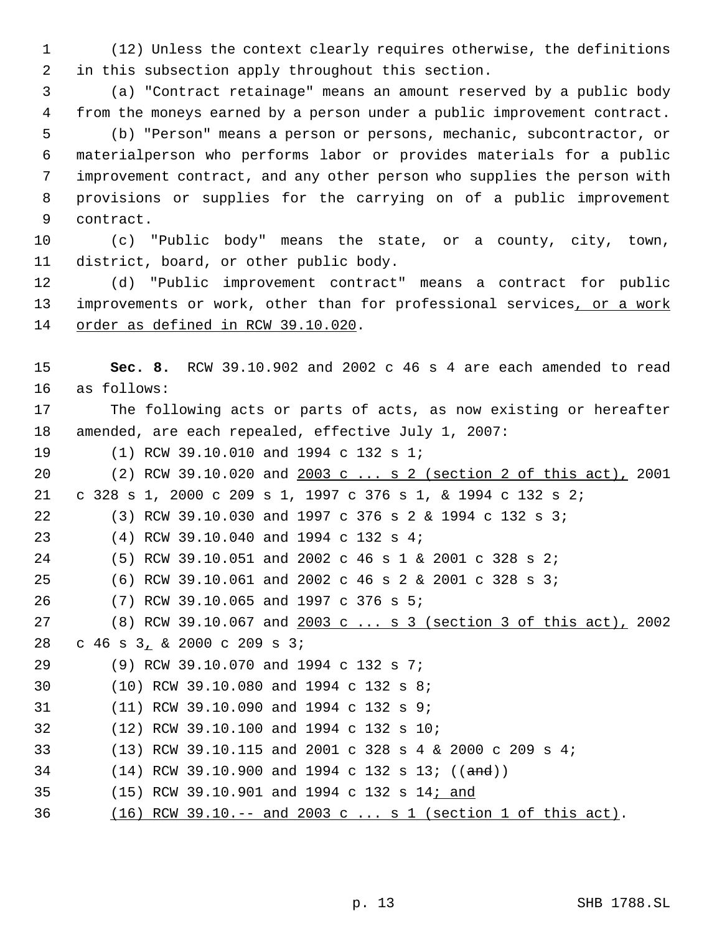(12) Unless the context clearly requires otherwise, the definitions in this subsection apply throughout this section.

 (a) "Contract retainage" means an amount reserved by a public body from the moneys earned by a person under a public improvement contract. (b) "Person" means a person or persons, mechanic, subcontractor, or materialperson who performs labor or provides materials for a public improvement contract, and any other person who supplies the person with provisions or supplies for the carrying on of a public improvement contract.

 (c) "Public body" means the state, or a county, city, town, district, board, or other public body.

 (d) "Public improvement contract" means a contract for public 13 improvements or work, other than for professional services, or a work order as defined in RCW 39.10.020.

 **Sec. 8.** RCW 39.10.902 and 2002 c 46 s 4 are each amended to read as follows: The following acts or parts of acts, as now existing or hereafter amended, are each repealed, effective July 1, 2007: (1) RCW 39.10.010 and 1994 c 132 s 1; (2) RCW 39.10.020 and 2003 c ... s 2 (section 2 of this act), 2001 c 328 s 1, 2000 c 209 s 1, 1997 c 376 s 1, & 1994 c 132 s 2; (3) RCW 39.10.030 and 1997 c 376 s 2 & 1994 c 132 s 3; (4) RCW 39.10.040 and 1994 c 132 s 4; (5) RCW 39.10.051 and 2002 c 46 s 1 & 2001 c 328 s 2; (6) RCW 39.10.061 and 2002 c 46 s 2 & 2001 c 328 s 3; (7) RCW 39.10.065 and 1997 c 376 s 5; (8) RCW 39.10.067 and 2003 c ... s 3 (section 3 of this act), 2002 c 46 s 3, & 2000 c 209 s 3; (9) RCW 39.10.070 and 1994 c 132 s 7; (10) RCW 39.10.080 and 1994 c 132 s 8; (11) RCW 39.10.090 and 1994 c 132 s 9; (12) RCW 39.10.100 and 1994 c 132 s 10; (13) RCW 39.10.115 and 2001 c 328 s 4 & 2000 c 209 s 4; 34 (14) RCW 39.10.900 and 1994 c 132 s 13; ((and)) (15) RCW 39.10.901 and 1994 c 132 s 14; and (16) RCW 39.10.-- and 2003 c ... s 1 (section 1 of this act).